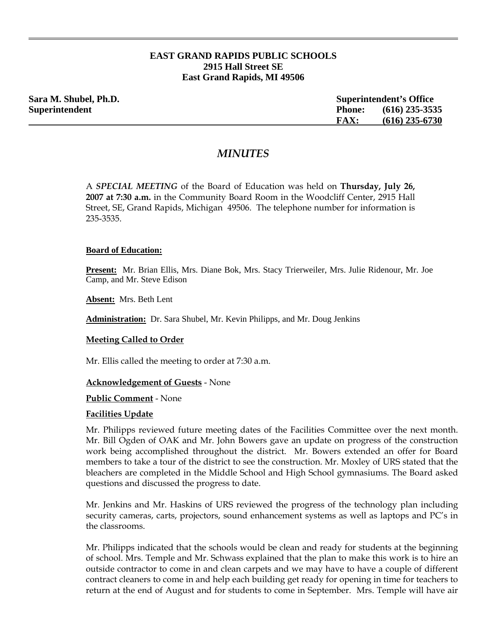# **EAST GRAND RAPIDS PUBLIC SCHOOLS 2915 Hall Street SE East Grand Rapids, MI 49506**

| Sara M. Shubel, Ph.D. |               | <b>Superintendent's Office</b> |  |
|-----------------------|---------------|--------------------------------|--|
| <b>Superintendent</b> | <b>Phone:</b> | $(616)$ 235-3535               |  |
|                       | <b>FAX:</b>   | $(616)$ 235-6730               |  |

# *MINUTES*

A *SPECIAL MEETING* of the Board of Education was held on **Thursday, July 26, 2007 at 7:30 a.m.** in the Community Board Room in the Woodcliff Center, 2915 Hall Street, SE, Grand Rapids, Michigan 49506. The telephone number for information is 235-3535.

#### **Board of Education:**

**Present:** Mr. Brian Ellis, Mrs. Diane Bok, Mrs. Stacy Trierweiler, Mrs. Julie Ridenour, Mr. Joe Camp, and Mr. Steve Edison

**Absent:** Mrs. Beth Lent

**Administration:** Dr. Sara Shubel, Mr. Kevin Philipps, and Mr. Doug Jenkins

#### **Meeting Called to Order**

Mr. Ellis called the meeting to order at 7:30 a.m.

#### **Acknowledgement of Guests** - None

#### **Public Comment** - None

#### **Facilities Update**

Mr. Philipps reviewed future meeting dates of the Facilities Committee over the next month. Mr. Bill Ogden of OAK and Mr. John Bowers gave an update on progress of the construction work being accomplished throughout the district. Mr. Bowers extended an offer for Board members to take a tour of the district to see the construction. Mr. Moxley of URS stated that the bleachers are completed in the Middle School and High School gymnasiums. The Board asked questions and discussed the progress to date.

Mr. Jenkins and Mr. Haskins of URS reviewed the progress of the technology plan including security cameras, carts, projectors, sound enhancement systems as well as laptops and PC's in the classrooms.

Mr. Philipps indicated that the schools would be clean and ready for students at the beginning of school. Mrs. Temple and Mr. Schwass explained that the plan to make this work is to hire an outside contractor to come in and clean carpets and we may have to have a couple of different contract cleaners to come in and help each building get ready for opening in time for teachers to return at the end of August and for students to come in September. Mrs. Temple will have air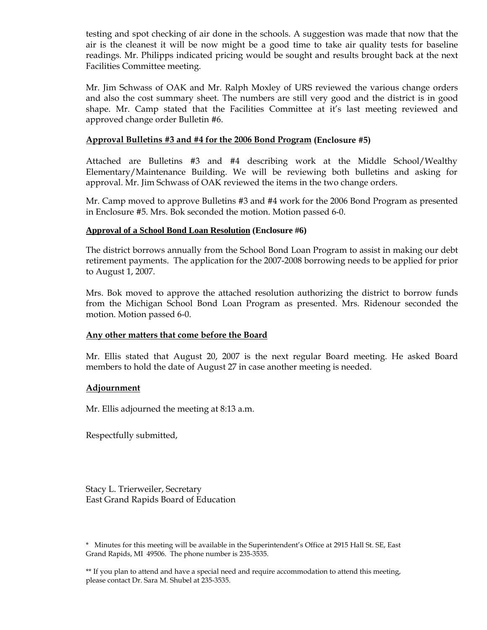testing and spot checking of air done in the schools. A suggestion was made that now that the air is the cleanest it will be now might be a good time to take air quality tests for baseline readings. Mr. Philipps indicated pricing would be sought and results brought back at the next Facilities Committee meeting.

Mr. Jim Schwass of OAK and Mr. Ralph Moxley of URS reviewed the various change orders and also the cost summary sheet. The numbers are still very good and the district is in good shape. Mr. Camp stated that the Facilities Committee at it's last meeting reviewed and approved change order Bulletin #6.

## **Approval Bulletins #3 and #4 for the 2006 Bond Program (Enclosure #5)**

Attached are Bulletins #3 and #4 describing work at the Middle School/Wealthy Elementary/Maintenance Building. We will be reviewing both bulletins and asking for approval. Mr. Jim Schwass of OAK reviewed the items in the two change orders.

Mr. Camp moved to approve Bulletins #3 and #4 work for the 2006 Bond Program as presented in Enclosure #5. Mrs. Bok seconded the motion. Motion passed 6-0.

## **Approval of a School Bond Loan Resolution (Enclosure #6)**

The district borrows annually from the School Bond Loan Program to assist in making our debt retirement payments. The application for the 2007-2008 borrowing needs to be applied for prior to August 1, 2007.

Mrs. Bok moved to approve the attached resolution authorizing the district to borrow funds from the Michigan School Bond Loan Program as presented. Mrs. Ridenour seconded the motion. Motion passed 6-0.

## **Any other matters that come before the Board**

Mr. Ellis stated that August 20, 2007 is the next regular Board meeting. He asked Board members to hold the date of August 27 in case another meeting is needed.

## **Adjournment**

Mr. Ellis adjourned the meeting at 8:13 a.m.

Respectfully submitted,

Stacy L. Trierweiler, Secretary East Grand Rapids Board of Education

 \* Minutes for this meeting will be available in the Superintendent's Office at 2915 Hall St. SE, East Grand Rapids, MI 49506. The phone number is 235-3535.

\*\* If you plan to attend and have a special need and require accommodation to attend this meeting, please contact Dr. Sara M. Shubel at 235-3535.